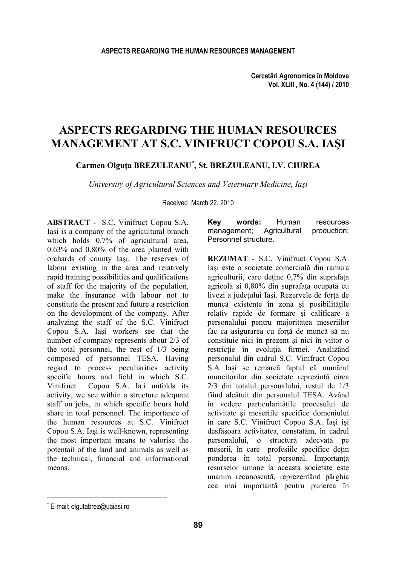# **ASPECTS REGARDING THE HUMAN RESOURCES MANAGEMENT AT S.C. VINIFRUCT COPOU S.A. IAŞI**

**Carmen Olguţa BREZULEANU\* , St. BREZULEANU, I.V. CIUREA** 

*University of Agricultural Sciences and Veterinary Medicine, Iaşi* 

Received March 22, 2010

**ABSTRACT -** S.C. Vinifruct Copou S.A. Iasi is a company of the agricultural branch which holds  $0.7\%$  of agricultural area, 0.63% and 0.80% of the area planted with orchards of county Iaşi. The reserves of labour existing in the area and relatively rapid training possibilities and qualifications of staff for the majority of the population, make the insurance with labour not to constitute the present and future a restriction on the development of the company. After analyzing the staff of the S.C. Vinifruct Copou S.A. Iaşi workers see that the number of company represents about 2/3 of the total personnel, the rest of 1/3 being composed of personnel TESA. Having regard to process peculiarities activity specific hours and field in which S.C. Vinifruct Copou S.A. Iai unfolds its activity, we see within a structure adequate staff on jobs, in which specific hours hold share in total personnel. The importance of the human resources at S.C. Vinifruct Copou S.A. Iaşi is well-known, representing the most important means to valorise the potentail of the land and animals as well as the technical, financial and informational means.

**Key words:** Human resources management; Agricultural production; Personnel structure.

**REZUMAT** - S.C. Vinifruct Copou S.A. Iaşi este o societate comercială din ramura agriculturii, care detine 0,7% din suprafata agricolă și 0,80% din suprafata ocupată cu livezi a judeţului Iaşi. Rezervele de forţă de muncă existente în zonă și posibilitățile relativ rapide de formare şi calificare a personalului pentru majoritatea meseriilor fac ca asigurarea cu forţă de muncă să nu constituie nici în prezent şi nici în viitor o restrictie în evoluția firmei. Analizând personalul din cadrul S.C. Vinifruct Copou S.A Iaşi se remarcă faptul că numărul muncitorilor din societate reprezintă circa 2/3 din totalul personalului, restul de 1/3 fiind alcătuit din personalul TESA. Având în vedere particularităţile procesului de activitate şi meseriile specifice domeniului în care S.C. Vinifruct Copou S.A. Iaşi îşi desfăşoară activitatea, constatăm, în cadrul personalului, o structură adecvată pe meserii, în care profesiile specifice deţin ponderea în total personal. Importanta resurselor umane la aceasta societate este unanim recunoscută, reprezentând pârghia cea mai importantă pentru punerea în

l

<sup>\*</sup> E-mail: olgutabrez@uaiasi.ro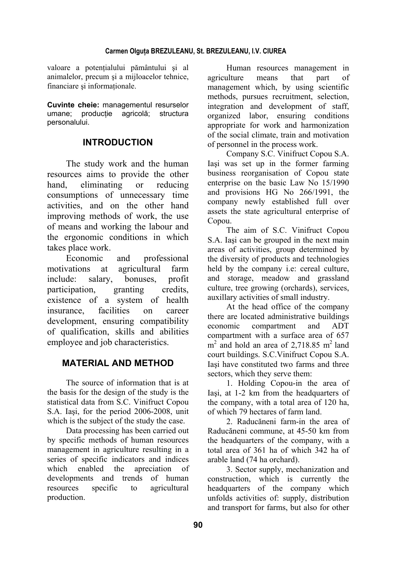### **Carmen Olguţa BREZULEANU, St. BREZULEANU, I.V. CIUREA**

valoare a potenţialului pământului şi al animalelor, precum şi a mijloacelor tehnice, financiare și informaționale.

**Cuvinte cheie:** managementul resurselor umane; producție agricolă; structura personalului.

# **INTRODUCTION**

The study work and the human resources aims to provide the other hand, eliminating or reducing consumptions of unnecessary time activities, and on the other hand improving methods of work, the use of means and working the labour and the ergonomic conditions in which takes place work.

Economic and professional motivations at agricultural farm include: salary, bonuses, profit participation, granting credits, existence of a system of health insurance, facilities on career development, ensuring compatibility of qualification, skills and abilities employee and job characteristics.

# **MATERIAL AND METHOD**

The source of information that is at the basis for the design of the study is the statistical data from S.C. Vinifruct Copou S.A. Iaşi, for the period 2006-2008, unit which is the subject of the study the case.

Data processing has been carried out by specific methods of human resources management in agriculture resulting in a series of specific indicators and indices which enabled the apreciation of developments and trends of human resources specific to agricultural production.

Human resources management in agriculture means that part of management which, by using scientific methods, pursues recruitment, selection, integration and development of staff, organized labor, ensuring conditions appropriate for work and harmonization of the social climate, train and motivation of personnel in the process work.

Company S.C. Vinifruct Copou S.A. Iaşi was set up in the former farming business reorganisation of Copou state enterprise on the basic Law No 15/1990 and provisions HG No 266/1991, the company newly established full over assets the state agricultural enterprise of Copou.

The aim of S.C. Vinifruct Copou S.A. Iaşi can be grouped in the next main areas of activities, group determined by the diversity of products and technologies held by the company i.e: cereal culture, and storage, meadow and grassland culture, tree growing (orchards), services, auxillary activities of small industry.

At the head office of the company there are located administrative buildings economic compartment and ADT compartment with a surface area of 657  $m<sup>2</sup>$  and hold an area of 2,718.85 m<sup>2</sup> land court buildings. S.C.Vinifruct Copou S.A. Iaşi have constituted two farms and three sectors, which they serve them:

1. Holding Copou-in the area of Iaşi, at 1-2 km from the headquarters of the company, with a total area of 120 ha, of which 79 hectares of farm land.

2. Raducăneni farm-in the area of Raducăneni commune, at 45-50 km from the headquarters of the company, with a total area of 361 ha of which 342 ha of arable land (74 ha orchard).

3. Sector supply, mechanization and construction, which is currently the headquarters of the company which unfolds activities of: supply, distribution and transport for farms, but also for other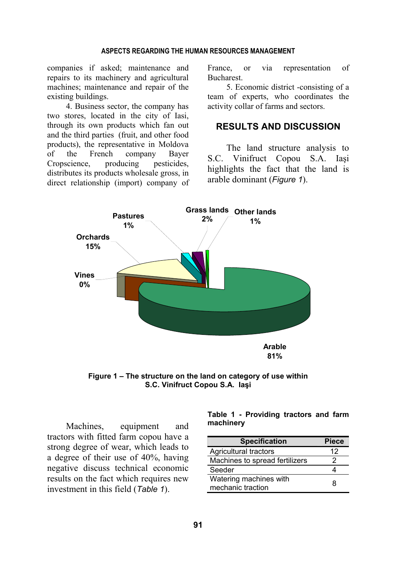#### **ASPECTS REGARDING THE HUMAN RESOURCES MANAGEMENT**

companies if asked; maintenance and repairs to its machinery and agricultural machines; maintenance and repair of the existing buildings.

4. Business sector, the company has two stores, located in the city of Iasi, through its own products which fan out and the third parties (fruit, and other food products), the representative in Moldova of the French company Bayer Cropscience, producing pesticides, distributes its products wholesale gross, in direct relationship (import) company of France, or via representation of **Bucharest** 

5. Economic district -consisting of a team of experts, who coordinates the activity collar of farms and sectors.

## **RESULTS AND DISCUSSION**

The land structure analysis to S.C. Vinifruct Copou S.A. Iaşi highlights the fact that the land is arable dominant (*Figure 1*).



**Figure 1 – The structure on the land on category of use within S.C. Vinifruct Copou S.A. Iaşi** 

Machines, equipment and tractors with fitted farm copou have a strong degree of wear, which leads to a degree of their use of 40%, having negative discuss technical economic results on the fact which requires new investment in this field (*Table 1*).

**Table 1 - Providing tractors and farm machinery** 

| <b>Specification</b>           | Piece |
|--------------------------------|-------|
| Agricultural tractors          | 12    |
| Machines to spread fertilizers | 2     |
| Seeder                         |       |
| Watering machines with         | я     |
| mechanic traction              |       |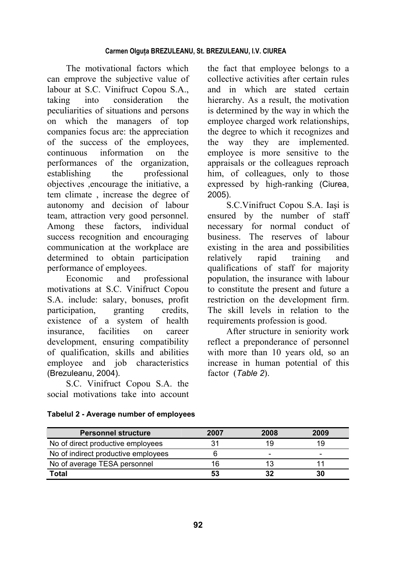The motivational factors which can emprove the subjective value of labour at S.C. Vinifruct Copou S.A., taking into consideration the peculiarities of situations and persons on which the managers of top companies focus are: the appreciation of the success of the employees, continuous information on the performances of the organization, establishing the professional objectives ,encourage the initiative, a tem climate , increase the degree of autonomy and decision of labour team, attraction very good personnel. Among these factors, individual success recognition and encouraging communication at the workplace are determined to obtain participation performance of employees.

Economic and professional motivations at S.C. Vinifruct Copou S.A. include: salary, bonuses, profit participation, granting credits, existence of a system of health insurance, facilities on career development, ensuring compatibility of qualification, skills and abilities employee and job characteristics (Brezuleanu, 2004).

S.C. Vinifruct Copou S.A. the social motivations take into account the fact that employee belongs to a collective activities after certain rules and in which are stated certain hierarchy. As a result, the motivation is determined by the way in which the employee charged work relationships, the degree to which it recognizes and the way they are implemented. employee is more sensitive to the appraisals or the colleagues reproach him, of colleagues, only to those expressed by high-ranking (Ciurea, 2005).

S.C.Vinifruct Copou S.A. Iaşi is ensured by the number of staff necessary for normal conduct of business. The reserves of labour existing in the area and possibilities relatively rapid training and qualifications of staff for majority population, the insurance with labour to constitute the present and future a restriction on the development firm. The skill levels in relation to the requirements profession is good.

After structure in seniority work reflect a preponderance of personnel with more than 10 years old, so an increase in human potential of this factor (*Table 2*).

| <b>Personnel structure</b>          | 2007 | 2008 | 2009 |
|-------------------------------------|------|------|------|
| No of direct productive employees   |      | 1 G  | 19   |
| No of indirect productive employees |      |      | -    |
| No of average TESA personnel        | 16   |      |      |
| Total                               |      |      | 30   |

# **Tabelul 2 - Average number of employees**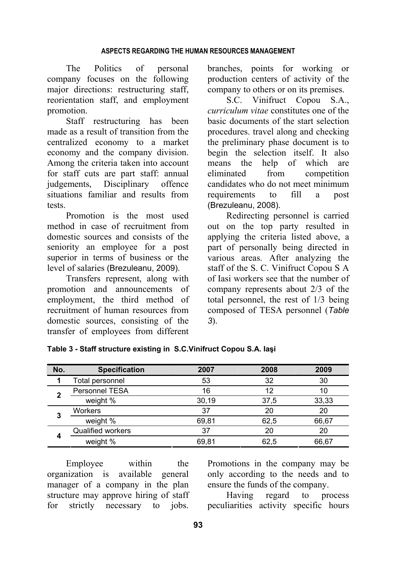# **ASPECTS REGARDING THE HUMAN RESOURCES MANAGEMENT**

The Politics of personal company focuses on the following major directions: restructuring staff, reorientation staff, and employment promotion.

Staff restructuring has been made as a result of transition from the centralized economy to a market economy and the company division. Among the criteria taken into account for staff cuts are part staff: annual judgements, Disciplinary offence situations familiar and results from tests.

Promotion is the most used method in case of recruitment from domestic sources and consists of the seniority an employee for a post superior in terms of business or the level of salaries (Brezuleanu, 2009).

Transfers represent, along with promotion and announcements of employment, the third method of recruitment of human resources from domestic sources, consisting of the transfer of employees from different branches, points for working or production centers of activity of the company to others or on its premises.

S.C. Vinifruct Copou S.A., *curriculum vitae* constitutes one of the basic documents of the start selection procedures. travel along and checking the preliminary phase document is to begin the selection itself. It also means the help of which are eliminated from competition candidates who do not meet minimum requirements to fill a post (Brezuleanu, 2008).

Redirecting personnel is carried out on the top party resulted in applying the criteria listed above, a part of personally being directed in various areas. After analyzing the staff of the S. C. Vinifruct Copou S A of Iasi workers see that the number of company represents about 2/3 of the total personnel, the rest of 1/3 being composed of TESA personnel (*Table 3*).

| No. | <b>Specification</b> | 2007  | 2008 | 2009  |  |
|-----|----------------------|-------|------|-------|--|
| 1   | Total personnel      | 53    | 32   | 30    |  |
| 2   | Personnel TESA       | 16    | 12   | 10    |  |
|     | weight %             | 30,19 | 37,5 | 33,33 |  |
| 3   | <b>Workers</b>       | 37    | 20   | 20    |  |
|     | weight %             | 69.81 | 62,5 | 66,67 |  |
| 4   | Qualified workers    | 37    | 20   | 20    |  |
|     | weight %             | 69.81 | 62,5 | 66.67 |  |

**Table 3 - Staff structure existing in S.C.Vinifruct Copou S.A. Iaşi** 

Employee within the organization is available general manager of a company in the plan structure may approve hiring of staff for strictly necessary to jobs.

Promotions in the company may be only according to the needs and to ensure the funds of the company.

Having regard to process peculiarities activity specific hours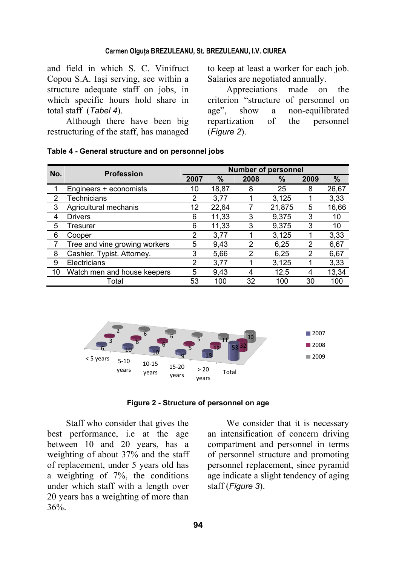### **Carmen Olguţa BREZULEANU, St. BREZULEANU, I.V. CIUREA**

and field in which S. C. Vinifruct Copou S.A. Iaşi serving, see within a structure adequate staff on jobs, in which specific hours hold share in total staff (*Tabel 4*).

Although there have been big restructuring of the staff, has managed to keep at least a worker for each job. Salaries are negotiated annually.

Appreciations made on the criterion "structure of personnel on age", show a non-equilibrated repartization of the personnel (*Figure 2*).

| No.            | <b>Profession</b>             | <b>Number of personnel</b> |       |                |        |                |       |
|----------------|-------------------------------|----------------------------|-------|----------------|--------|----------------|-------|
|                |                               | 2007                       | %     | 2008           | %      | 2009           | %     |
|                | Engineers + economists        | 10                         | 18,87 | 8              | 25     | 8              | 26,67 |
| $\overline{2}$ | Technicians                   | $\overline{2}$             | 3,77  |                | 3,125  |                | 3,33  |
| 3              | Agricultural mechanis         | 12                         | 22,64 | 7              | 21,875 | 5              | 16,66 |
| 4              | <b>Drivers</b>                | 6                          | 11,33 | 3              | 9,375  | 3              | 10    |
| 5              | Tresurer                      | 6                          | 11,33 | 3              | 9,375  | 3              | 10    |
| 6              | Cooper                        | 2                          | 3,77  |                | 3,125  |                | 3,33  |
|                | Tree and vine growing workers | 5                          | 9,43  | 2              | 6,25   | $\overline{2}$ | 6,67  |
| 8              | Cashier. Typist. Attorney.    | 3                          | 5,66  | $\overline{2}$ | 6,25   | 2              | 6,67  |
| 9              | Electricians                  | 2                          | 3,77  |                | 3,125  |                | 3,33  |
| 10             | Watch men and house keepers   | 5                          | 9,43  | 4              | 12,5   | 4              | 13,34 |
|                | Total                         | 53                         | 100   | 32             | 100    | 30             | 100   |





**Figure 2 - Structure of personnel on age**

Staff who consider that gives the best performance, i.e at the age between 10 and 20 years, has a weighting of about 37% and the staff of replacement, under 5 years old has a weighting of 7%, the conditions under which staff with a length over 20 years has a weighting of more than 36%.

We consider that it is necessary an intensification of concern driving compartment and personnel in terms of personnel structure and promoting personnel replacement, since pyramid age indicate a slight tendency of aging staff (*Figure 3*).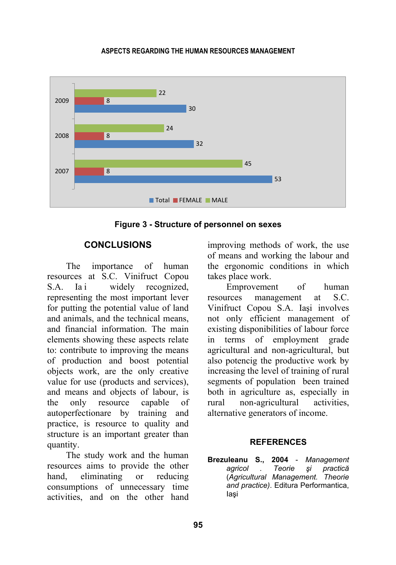## **ASPECTS REGARDING THE HUMAN RESOURCES MANAGEMENT**



**Figure 3 - Structure of personnel on sexes** 

# **CONCLUSIONS**

The importance of human resources at S.C. Vinifruct Copou S.A. Iai widely recognized, representing the most important lever for putting the potential value of land and animals, and the technical means, and financial information. The main elements showing these aspects relate to: contribute to improving the means of production and boost potential objects work, are the only creative value for use (products and services), and means and objects of labour, is the only resource capable of autoperfectionare by training and practice, is resource to quality and structure is an important greater than quantity.

The study work and the human resources aims to provide the other hand, eliminating or reducing consumptions of unnecessary time activities, and on the other hand improving methods of work, the use of means and working the labour and the ergonomic conditions in which takes place work.

Emprovement of human resources management at S.C. Vinifruct Copou S.A. Iaşi involves not only efficient management of existing disponibilities of labour force in terms of employment grade agricultural and non-agricultural, but also potencig the productive work by increasing the level of training of rural segments of population been trained both in agriculture as, especially in rural non-agricultural activities, alternative generators of income.

# **REFERENCES**

**Brezuleanu S., 2004** - *Management agricol . Teorie şi practică* (*Agricultural Management. Theorie and practice)*. Editura Performantica, Iaşi